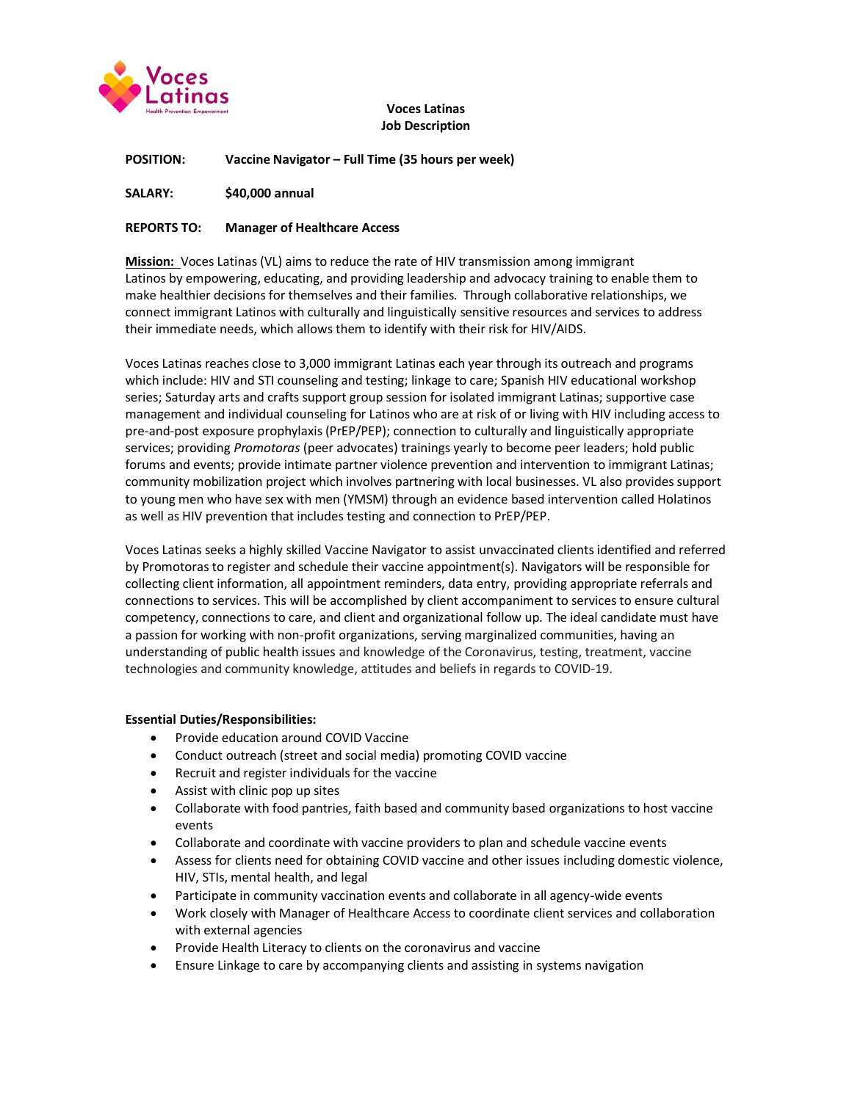

# **Voces Latinas Job Description**

**POSITION: Vaccine Navigator – Full Time (35 hours per week)**

**SALARY: \$40,000 annual**

### **REPORTS TO: Manager of Healthcare Access**

**Mission:** Voces Latinas (VL) aims to reduce the rate of HIV transmission among immigrant Latinos by empowering, educating, and providing leadership and advocacy training to enable them to make healthier decisions for themselves and their families. Through collaborative relationships, we connect immigrant Latinos with culturally and linguistically sensitive resources and services to address their immediate needs, which allows them to identify with their risk for HIV/AIDS.

Voces Latinas reaches close to 3,000 immigrant Latinas each year through its outreach and programs which include: HIV and STI counseling and testing; linkage to care; Spanish HIV educational workshop series; Saturday arts and crafts support group session for isolated immigrant Latinas; supportive case management and individual counseling for Latinos who are at risk of or living with HIV including access to pre-and-post exposure prophylaxis (PrEP/PEP); connection to culturally and linguistically appropriate services; providing *Promotoras* (peer advocates) trainings yearly to become peer leaders; hold public forums and events; provide intimate partner violence prevention and intervention to immigrant Latinas; community mobilization project which involves partnering with local businesses. VL also provides support to young men who have sex with men (YMSM) through an evidence based intervention called Holatinos as well as HIV prevention that includes testing and connection to PrEP/PEP.

Voces Latinas seeks a highly skilled Vaccine Navigator to assist unvaccinated clients identified and referred by Promotoras to register and schedule their vaccine appointment(s). Navigators will be responsible for collecting client information, all appointment reminders, data entry, providing appropriate referrals and connections to services. This will be accomplished by client accompaniment to services to ensure cultural competency, connections to care, and client and organizational follow up. The ideal candidate must have a passion for working with non-profit organizations, serving marginalized communities, having an understanding of public health issues and knowledge of the Coronavirus, testing, treatment, vaccine technologies and community knowledge, attitudes and beliefs in regards to COVID-19.

#### **Essential Duties/Responsibilities:**

- Provide education around COVID Vaccine
- Conduct outreach (street and social media) promoting COVID vaccine
- Recruit and register individuals for the vaccine
- Assist with clinic pop up sites
- Collaborate with food pantries, faith based and community based organizations to host vaccine events
- Collaborate and coordinate with vaccine providers to plan and schedule vaccine events
- Assess for clients need for obtaining COVID vaccine and other issues including domestic violence, HIV, STIs, mental health, and legal
- Participate in community vaccination events and collaborate in all agency-wide events
- Work closely with Manager of Healthcare Access to coordinate client services and collaboration with external agencies
- Provide Health Literacy to clients on the coronavirus and vaccine
- Ensure Linkage to care by accompanying clients and assisting in systems navigation